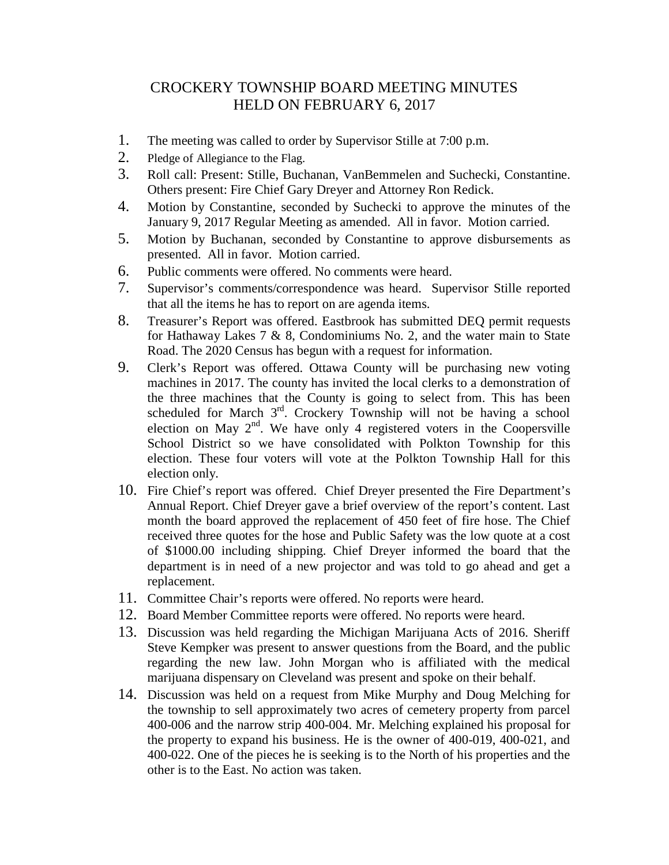## CROCKERY TOWNSHIP BOARD MEETING MINUTES HELD ON FEBRUARY 6, 2017

- 1. The meeting was called to order by Supervisor Stille at 7:00 p.m.
- 2. Pledge of Allegiance to the Flag.
- 3. Roll call: Present: Stille, Buchanan, VanBemmelen and Suchecki, Constantine. Others present: Fire Chief Gary Dreyer and Attorney Ron Redick.
- 4. Motion by Constantine, seconded by Suchecki to approve the minutes of the January 9, 2017 Regular Meeting as amended. All in favor. Motion carried.
- 5. Motion by Buchanan, seconded by Constantine to approve disbursements as presented. All in favor. Motion carried.
- 6. Public comments were offered. No comments were heard.
- 7. Supervisor's comments/correspondence was heard. Supervisor Stille reported that all the items he has to report on are agenda items.
- 8. Treasurer's Report was offered. Eastbrook has submitted DEQ permit requests for Hathaway Lakes 7 & 8, Condominiums No. 2, and the water main to State Road. The 2020 Census has begun with a request for information.
- 9. Clerk's Report was offered. Ottawa County will be purchasing new voting machines in 2017. The county has invited the local clerks to a demonstration of the three machines that the County is going to select from. This has been scheduled for March  $3<sup>rd</sup>$ . Crockery Township will not be having a school election on May  $2<sup>nd</sup>$ . We have only 4 registered voters in the Coopersville School District so we have consolidated with Polkton Township for this election. These four voters will vote at the Polkton Township Hall for this election only.
- 10. Fire Chief's report was offered. Chief Dreyer presented the Fire Department's Annual Report. Chief Dreyer gave a brief overview of the report's content. Last month the board approved the replacement of 450 feet of fire hose. The Chief received three quotes for the hose and Public Safety was the low quote at a cost of \$1000.00 including shipping. Chief Dreyer informed the board that the department is in need of a new projector and was told to go ahead and get a replacement.
- 11. Committee Chair's reports were offered. No reports were heard.
- 12. Board Member Committee reports were offered. No reports were heard.
- 13. Discussion was held regarding the Michigan Marijuana Acts of 2016. Sheriff Steve Kempker was present to answer questions from the Board, and the public regarding the new law. John Morgan who is affiliated with the medical marijuana dispensary on Cleveland was present and spoke on their behalf.
- 14. Discussion was held on a request from Mike Murphy and Doug Melching for the township to sell approximately two acres of cemetery property from parcel 400-006 and the narrow strip 400-004. Mr. Melching explained his proposal for the property to expand his business. He is the owner of 400-019, 400-021, and 400-022. One of the pieces he is seeking is to the North of his properties and the other is to the East. No action was taken.